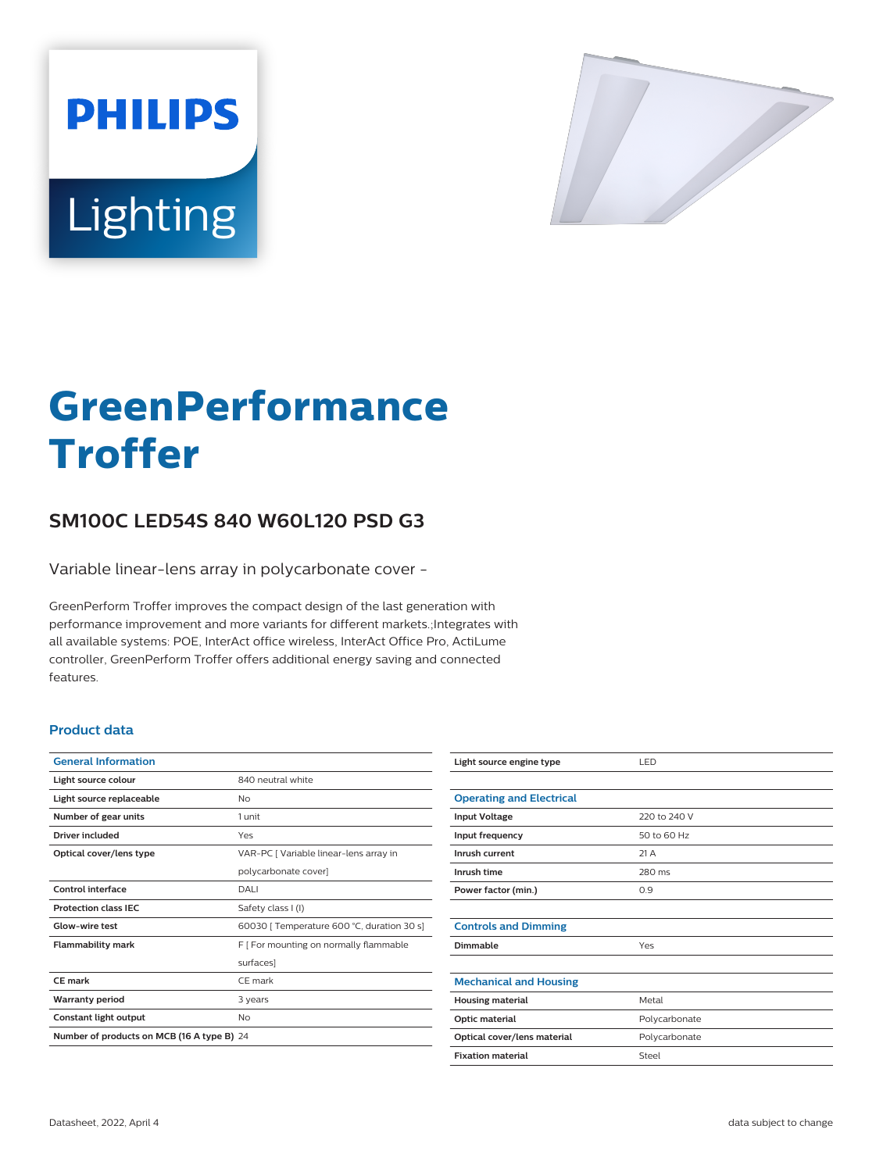



# **GreenPerformance Troffer**

# **SM100C LED54S 840 W60L120 PSD G3**

Variable linear-lens array in polycarbonate cover -

GreenPerform Troffer improves the compact design of the last generation with performance improvement and more variants for different markets.;Integrates with all available systems: POE, InterAct office wireless, InterAct Office Pro, ActiLume controller, GreenPerform Troffer offers additional energy saving and connected features.

### **Product data**

| <b>General Information</b>                 |                                            |
|--------------------------------------------|--------------------------------------------|
| Light source colour                        | 840 neutral white                          |
| Light source replaceable                   | Nο                                         |
| Number of gear units                       | 1 unit                                     |
| Driver included                            | Yes                                        |
| Optical cover/lens type                    | VAR-PC [ Variable linear-lens array in     |
|                                            | polycarbonate cover]                       |
| Control interface                          | DALI                                       |
| <b>Protection class IEC</b>                | Safety class I (I)                         |
| Glow-wire test                             | 60030   Temperature 600 °C, duration 30 s] |
| <b>Flammability mark</b>                   | F [ For mounting on normally flammable     |
|                                            | surfaces]                                  |
| CF mark                                    | CF mark                                    |
| <b>Warranty period</b>                     | 3 years                                    |
| Constant light output                      | No                                         |
| Number of products on MCB (16 A type B) 24 |                                            |

| Light source engine type        | LED           |
|---------------------------------|---------------|
|                                 |               |
| <b>Operating and Electrical</b> |               |
| <b>Input Voltage</b>            | 220 to 240 V  |
| Input frequency                 | 50 to 60 Hz   |
| Inrush current                  | 21A           |
| Inrush time                     | 280 ms        |
| Power factor (min.)             | 0.9           |
|                                 |               |
| <b>Controls and Dimming</b>     |               |
| Dimmable                        | Yes           |
|                                 |               |
| <b>Mechanical and Housing</b>   |               |
| <b>Housing material</b>         | Metal         |
| Optic material                  | Polycarbonate |
| Optical cover/lens material     | Polycarbonate |
| <b>Fixation material</b>        | Steel         |
|                                 |               |